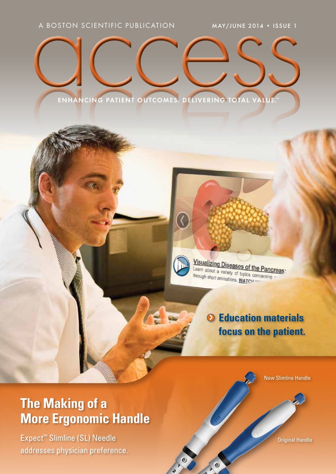# ENHANCING PATIENT OUTCOMES. DELIVERING TOTAL VA



Visualizing Diseases of the Pancreas: Learn about a variety of topics concerning through short animations. WATCH NY

# › **Education materials focus on the patient.**

# **The Making of a More Ergonomic Handle**

Expect™ Slimline (SL) Needle addresses physician preference. New Slimline Handle

Original Handle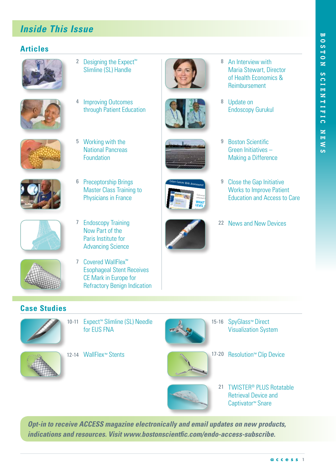## *Inside This Issue*

#### **Articles**













- 2 Designing the Expect<sup>™</sup> Slimline (SL) Handle
- 4 Improving Outcomes through Patient Education

5 Working with the National Pancreas Foundation

6 Preceptorship Brings Master Class Training to Physicians in France







Colon Cancer Risk Assessment

**22 News and New Devices 22 News and New Devices** 

Take the Colorectal Cancer Risk Assessment Quiz to find out. **WHAT' LEVEL** 

9 Boston Scientific

8 Update on

8 An Interview with

Maria Stewart, Director of Health Economics & Reimbursement *Eating After* 

Green Initiatives – Making a Difference

Endoscopy Gurukul

Colorectal cancer and cancer and cancer affects and cancer affects and cancer affects and cancer affects and cancer and cancer affect and cancer and cancer and cancer affect and cancer affect and cancer affect and cancer a estimated **1 in 20 Americans**. 9 Close the Gap Initiative Works to Improve Patient Education and Access to Care





- Now Part of the Paris Institute for Advancing Science 7 Covered WallFlex™
	- Esophageal Stent Receives CE Mark in Europe for Refractory Benign Indication

#### **Case Studies**



10-11 Expect™ Slimline (SL) Needle for EUS FNA





- 15-16 SpyGlass™ Direct Visualization System
- 12-14 WallFlex™ Stents 17-20 Resolution™ Clip Device



*Opt-in to receive ACCESS magazine electronically and email updates on new products, indications and resources. Visit www.bostonscientfic.com/endo-access-subscribe.*